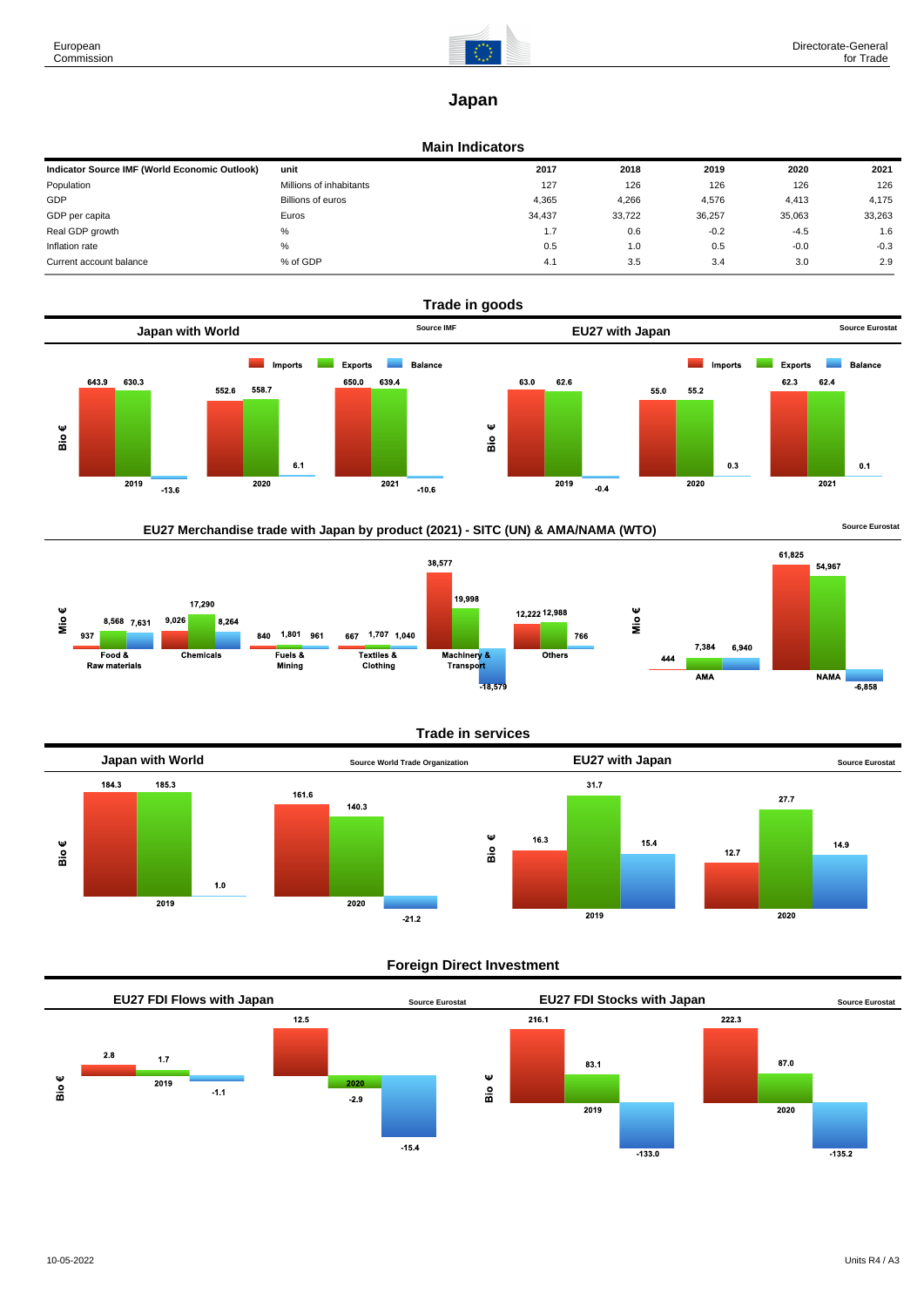

# **Japan**

#### **Main Indicators**

| Indicator Source IMF (World Economic Outlook) | unit                     | 2017   | 2018   | 2019   | 2020   | 2021   |
|-----------------------------------------------|--------------------------|--------|--------|--------|--------|--------|
| Population                                    | Millions of inhabitants  | 127    | 126    | 126    | 126    | 126    |
| GDP                                           | <b>Billions of euros</b> | 4.365  | 4,266  | 4,576  | 4,413  | 4.175  |
| GDP per capita                                | Euros                    | 34.437 | 33,722 | 36,257 | 35,063 | 33,263 |
| Real GDP growth                               | %                        | 1.7    | 0.6    | $-0.2$ | $-4.5$ | 1.6    |
| Inflation rate                                | %                        | 0.5    | 1.0    | 0.5    | $-0.0$ | $-0.3$ |
| Current account balance                       | % of GDP                 | 4.1    | 3.5    | 3.4    | 3.0    | 2.9    |







## **Trade in services**



## **Foreign Direct Investment**